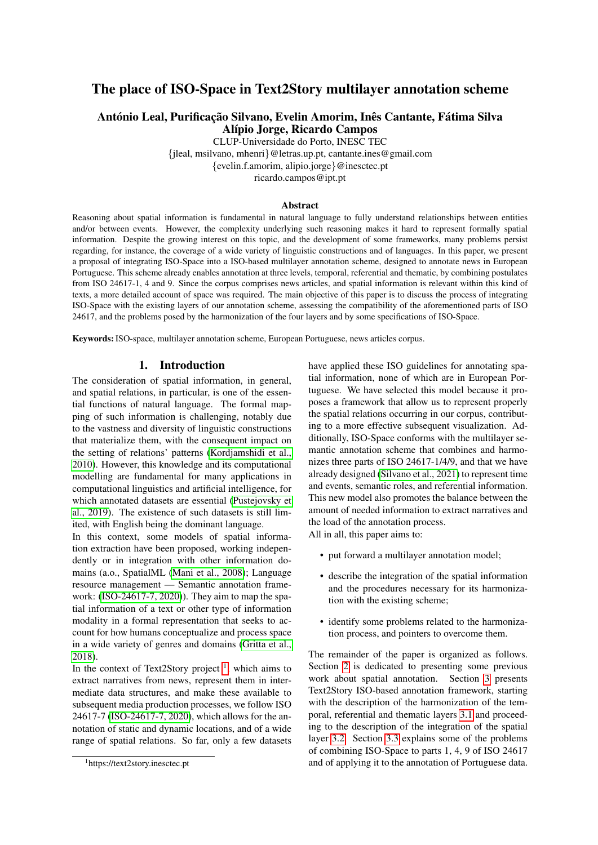# The place of ISO-Space in Text2Story multilayer annotation scheme

# António Leal, Purificação Silvano, Evelin Amorim, Inês Cantante, Fátima Silva Alípio Jorge, Ricardo Campos

CLUP-Universidade do Porto, INESC TEC {jleal, msilvano, mhenri}@letras.up.pt, cantante.ines@gmail.com {evelin.f.amorim, alipio.jorge}@inesctec.pt ricardo.campos@ipt.pt

#### Abstract

Reasoning about spatial information is fundamental in natural language to fully understand relationships between entities and/or between events. However, the complexity underlying such reasoning makes it hard to represent formally spatial information. Despite the growing interest on this topic, and the development of some frameworks, many problems persist regarding, for instance, the coverage of a wide variety of linguistic constructions and of languages. In this paper, we present a proposal of integrating ISO-Space into a ISO-based multilayer annotation scheme, designed to annotate news in European Portuguese. This scheme already enables annotation at three levels, temporal, referential and thematic, by combining postulates from ISO 24617-1, 4 and 9. Since the corpus comprises news articles, and spatial information is relevant within this kind of texts, a more detailed account of space was required. The main objective of this paper is to discuss the process of integrating ISO-Space with the existing layers of our annotation scheme, assessing the compatibility of the aforementioned parts of ISO 24617, and the problems posed by the harmonization of the four layers and by some specifications of ISO-Space.

Keywords: ISO-space, multilayer annotation scheme, European Portuguese, news articles corpus.

#### 1. Introduction

The consideration of spatial information, in general, and spatial relations, in particular, is one of the essential functions of natural language. The formal mapping of such information is challenging, notably due to the vastness and diversity of linguistic constructions that materialize them, with the consequent impact on the setting of relations' patterns [\(Kordjamshidi et al.,](#page-8-0) [2010\)](#page-8-0). However, this knowledge and its computational modelling are fundamental for many applications in computational linguistics and artificial intelligence, for which annotated datasets are essential [\(Pustejovsky et](#page-9-0) [al., 2019\)](#page-9-0). The existence of such datasets is still limited, with English being the dominant language.

In this context, some models of spatial information extraction have been proposed, working independently or in integration with other information domains (a.o., SpatialML [\(Mani et al., 2008\)](#page-8-1); Language resource management — Semantic annotation framework: [\(ISO-24617-7, 2020\)](#page-8-2)). They aim to map the spatial information of a text or other type of information modality in a formal representation that seeks to account for how humans conceptualize and process space in a wide variety of genres and domains [\(Gritta et al.,](#page-8-3) [2018\)](#page-8-3).

In the context of Text2Story project  $\frac{1}{1}$  $\frac{1}{1}$  $\frac{1}{1}$ , which aims to extract narratives from news, represent them in intermediate data structures, and make these available to subsequent media production processes, we follow ISO 24617-7 [\(ISO-24617-7, 2020\)](#page-8-2), which allows for the annotation of static and dynamic locations, and of a wide range of spatial relations. So far, only a few datasets have applied these ISO guidelines for annotating spatial information, none of which are in European Portuguese. We have selected this model because it proposes a framework that allow us to represent properly the spatial relations occurring in our corpus, contributing to a more effective subsequent visualization. Additionally, ISO-Space conforms with the multilayer semantic annotation scheme that combines and harmonizes three parts of ISO 24617-1/4/9, and that we have already designed [\(Silvano et al., 2021\)](#page-9-1) to represent time and events, semantic roles, and referential information. This new model also promotes the balance between the amount of needed information to extract narratives and the load of the annotation process.

All in all, this paper aims to:

- put forward a multilayer annotation model;
- describe the integration of the spatial information and the procedures necessary for its harmonization with the existing scheme;
- identify some problems related to the harmonization process, and pointers to overcome them.

The remainder of the paper is organized as follows. Section [2](#page-1-0) is dedicated to presenting some previous work about spatial annotation. Section [3](#page-1-1) presents Text2Story ISO-based annotation framework, starting with the description of the harmonization of the temporal, referential and thematic layers [3.1](#page-1-2) and proceeding to the description of the integration of the spatial layer [3.2.](#page-2-0) Section [3.3](#page-6-0) explains some of the problems of combining ISO-Space to parts 1, 4, 9 of ISO 24617 and of applying it to the annotation of Portuguese data.

<span id="page-0-0"></span><sup>1</sup> https://text2story.inesctec.pt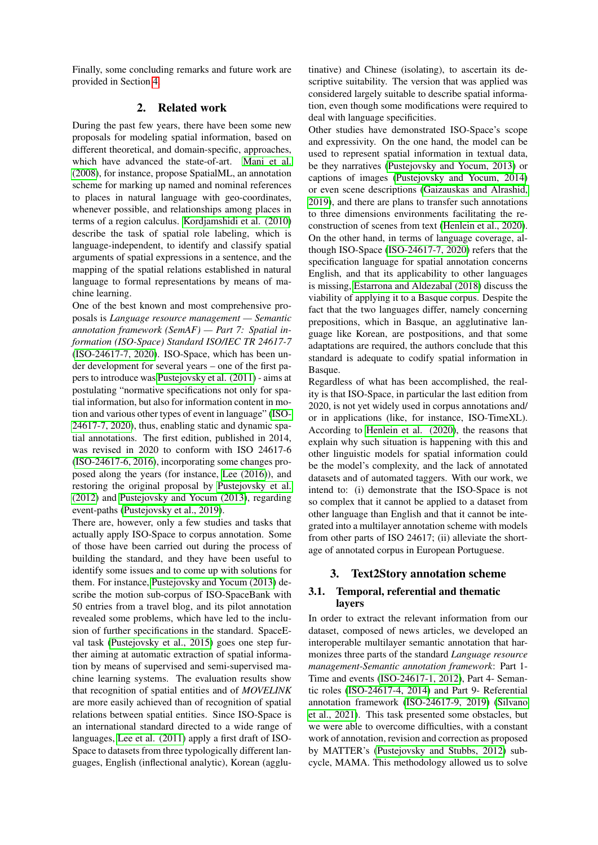Finally, some concluding remarks and future work are provided in Section [4.](#page-7-0)

# 2. Related work

<span id="page-1-0"></span>During the past few years, there have been some new proposals for modeling spatial information, based on different theoretical, and domain-specific, approaches, which have advanced the state-of-art. [Mani et al.](#page-8-1) [\(2008\)](#page-8-1), for instance, propose SpatialML, an annotation scheme for marking up named and nominal references to places in natural language with geo-coordinates, whenever possible, and relationships among places in terms of a region calculus. [Kordjamshidi et al. \(2010\)](#page-8-0) describe the task of spatial role labeling, which is language-independent, to identify and classify spatial arguments of spatial expressions in a sentence, and the mapping of the spatial relations established in natural language to formal representations by means of machine learning.

One of the best known and most comprehensive proposals is *Language resource management — Semantic annotation framework (SemAF) — Part 7: Spatial information (ISO-Space) Standard ISO/IEC TR 24617-7* [\(ISO-24617-7, 2020\)](#page-8-2). ISO-Space, which has been under development for several years – one of the first papers to introduce was [Pustejovsky et al. \(2011\)](#page-8-4) - aims at postulating "normative specifications not only for spatial information, but also for information content in motion and various other types of event in language" [\(ISO-](#page-8-2)[24617-7, 2020\)](#page-8-2), thus, enabling static and dynamic spatial annotations. The first edition, published in 2014, was revised in 2020 to conform with ISO 24617-6 [\(ISO-24617-6, 2016\)](#page-8-5), incorporating some changes proposed along the years (for instance, [Lee \(2016\)](#page-8-6)), and restoring the original proposal by [Pustejovsky et al.](#page-8-7) [\(2012\)](#page-8-7) and [Pustejovsky and Yocum \(2013\)](#page-8-8), regarding event-paths [\(Pustejovsky et al., 2019\)](#page-9-0).

There are, however, only a few studies and tasks that actually apply ISO-Space to corpus annotation. Some of those have been carried out during the process of building the standard, and they have been useful to identify some issues and to come up with solutions for them. For instance, [Pustejovsky and Yocum \(2013\)](#page-8-8) describe the motion sub-corpus of ISO-SpaceBank with 50 entries from a travel blog, and its pilot annotation revealed some problems, which have led to the inclusion of further specifications in the standard. SpaceEval task [\(Pustejovsky et al., 2015\)](#page-9-2) goes one step further aiming at automatic extraction of spatial information by means of supervised and semi-supervised machine learning systems. The evaluation results show that recognition of spatial entities and of *MOVELINK* are more easily achieved than of recognition of spatial relations between spatial entities. Since ISO-Space is an international standard directed to a wide range of languages, [Lee et al. \(2011\)](#page-8-9) apply a first draft of ISO-Space to datasets from three typologically different languages, English (inflectional analytic), Korean (agglutinative) and Chinese (isolating), to ascertain its descriptive suitability. The version that was applied was considered largely suitable to describe spatial information, even though some modifications were required to deal with language specificities.

Other studies have demonstrated ISO-Space's scope and expressivity. On the one hand, the model can be used to represent spatial information in textual data, be they narratives [\(Pustejovsky and Yocum, 2013\)](#page-8-8) or captions of images [\(Pustejovsky and Yocum, 2014\)](#page-8-10) or even scene descriptions [\(Gaizauskas and Alrashid,](#page-8-11) [2019\)](#page-8-11), and there are plans to transfer such annotations to three dimensions environments facilitating the reconstruction of scenes from text [\(Henlein et al., 2020\)](#page-8-12). On the other hand, in terms of language coverage, although ISO-Space [\(ISO-24617-7, 2020\)](#page-8-2) refers that the specification language for spatial annotation concerns English, and that its applicability to other languages is missing, [Estarrona and Aldezabal \(2018\)](#page-8-13) discuss the viability of applying it to a Basque corpus. Despite the fact that the two languages differ, namely concerning prepositions, which in Basque, an agglutinative language like Korean, are postpositions, and that some adaptations are required, the authors conclude that this standard is adequate to codify spatial information in Basque.

Regardless of what has been accomplished, the reality is that ISO-Space, in particular the last edition from 2020, is not yet widely used in corpus annotations and/ or in applications (like, for instance, ISO-TimeXL). According to [Henlein et al. \(2020\)](#page-8-12), the reasons that explain why such situation is happening with this and other linguistic models for spatial information could be the model's complexity, and the lack of annotated datasets and of automated taggers. With our work, we intend to: (i) demonstrate that the ISO-Space is not so complex that it cannot be applied to a dataset from other language than English and that it cannot be integrated into a multilayer annotation scheme with models from other parts of ISO 24617; (ii) alleviate the shortage of annotated corpus in European Portuguese.

# <span id="page-1-1"></span>3. Text2Story annotation scheme

# <span id="page-1-2"></span>3.1. Temporal, referential and thematic layers

In order to extract the relevant information from our dataset, composed of news articles, we developed an interoperable multilayer semantic annotation that harmonizes three parts of the standard *Language resource management-Semantic annotation framework*: Part 1- Time and events [\(ISO-24617-1, 2012\)](#page-8-14), Part 4- Semantic roles [\(ISO-24617-4, 2014\)](#page-8-15) and Part 9- Referential annotation framework [\(ISO-24617-9, 2019\)](#page-8-16) [\(Silvano](#page-9-1) [et al., 2021\)](#page-9-1). This task presented some obstacles, but we were able to overcome difficulties, with a constant work of annotation, revision and correction as proposed by MATTER's [\(Pustejovsky and Stubbs, 2012\)](#page-8-17) subcycle, MAMA. This methodology allowed us to solve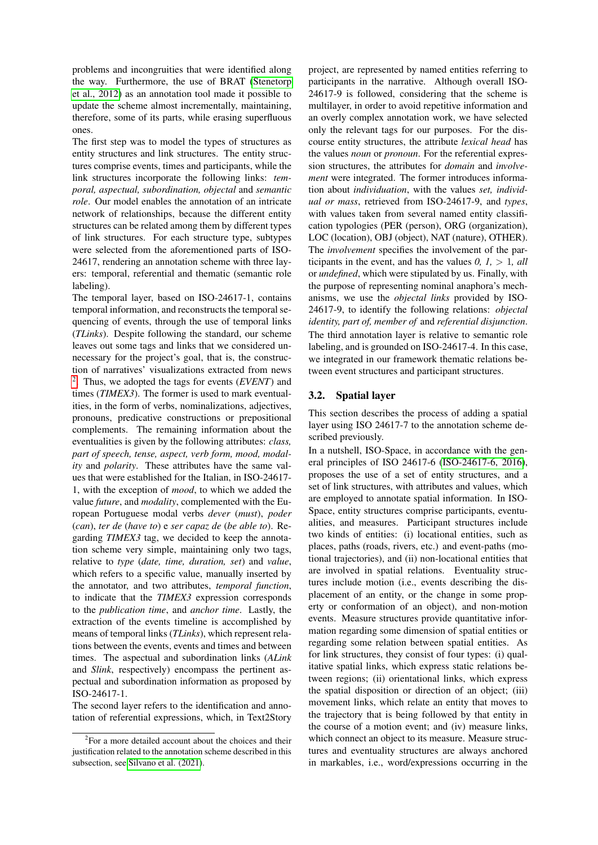problems and incongruities that were identified along the way. Furthermore, the use of BRAT [\(Stenetorp](#page-9-3) [et al., 2012\)](#page-9-3) as an annotation tool made it possible to update the scheme almost incrementally, maintaining, therefore, some of its parts, while erasing superfluous ones.

The first step was to model the types of structures as entity structures and link structures. The entity structures comprise events, times and participants, while the link structures incorporate the following links: *temporal, aspectual, subordination, objectal* and *semantic role*. Our model enables the annotation of an intricate network of relationships, because the different entity structures can be related among them by different types of link structures. For each structure type, subtypes were selected from the aforementioned parts of ISO-24617, rendering an annotation scheme with three layers: temporal, referential and thematic (semantic role labeling).

The temporal layer, based on ISO-24617-1, contains temporal information, and reconstructs the temporal sequencing of events, through the use of temporal links (*TLinks*). Despite following the standard, our scheme leaves out some tags and links that we considered unnecessary for the project's goal, that is, the construction of narratives' visualizations extracted from news [2](#page-2-1) . Thus, we adopted the tags for events (*EVENT*) and times (*TIMEX3*). The former is used to mark eventualities, in the form of verbs, nominalizations, adjectives, pronouns, predicative constructions or prepositional complements. The remaining information about the eventualities is given by the following attributes: *class, part of speech, tense, aspect, verb form, mood, modality* and *polarity*. These attributes have the same values that were established for the Italian, in ISO-24617- 1, with the exception of *mood*, to which we added the value *future*, and *modality*, complemented with the European Portuguese modal verbs *dever* (*must*), *poder* (*can*), *ter de* (*have to*) e *ser capaz de* (*be able to*). Regarding *TIMEX3* tag, we decided to keep the annotation scheme very simple, maintaining only two tags, relative to *type* (*date, time, duration, set*) and *value*, which refers to a specific value, manually inserted by the annotator, and two attributes, *temporal function*, to indicate that the *TIMEX3* expression corresponds to the *publication time*, and *anchor time*. Lastly, the extraction of the events timeline is accomplished by means of temporal links (*TLinks*), which represent relations between the events, events and times and between times. The aspectual and subordination links (*ALink* and *Slink*, respectively) encompass the pertinent aspectual and subordination information as proposed by ISO-24617-1.

The second layer refers to the identification and annotation of referential expressions, which, in Text2Story

project, are represented by named entities referring to participants in the narrative. Although overall ISO-24617-9 is followed, considering that the scheme is multilayer, in order to avoid repetitive information and an overly complex annotation work, we have selected only the relevant tags for our purposes. For the discourse entity structures, the attribute *lexical head* has the values *noun* or *pronoun*. For the referential expression structures, the attributes for *domain* and *involvement* were integrated. The former introduces information about *individuation*, with the values *set, individual or mass*, retrieved from ISO-24617-9, and *types*, with values taken from several named entity classification typologies (PER (person), ORG (organization), LOC (location), OBJ (object), NAT (nature), OTHER). The *involvement* specifies the involvement of the participants in the event, and has the values  $0, 1, > 1, \text{ all}$ or *undefined*, which were stipulated by us. Finally, with the purpose of representing nominal anaphora's mechanisms, we use the *objectal links* provided by ISO-24617-9, to identify the following relations: *objectal identity, part of, member of* and *referential disjunction*. The third annotation layer is relative to semantic role labeling, and is grounded on ISO-24617-4. In this case, we integrated in our framework thematic relations between event structures and participant structures.

# <span id="page-2-0"></span>3.2. Spatial layer

This section describes the process of adding a spatial layer using ISO 24617-7 to the annotation scheme described previously.

In a nutshell, ISO-Space, in accordance with the general principles of ISO 24617-6 [\(ISO-24617-6, 2016\)](#page-8-5), proposes the use of a set of entity structures, and a set of link structures, with attributes and values, which are employed to annotate spatial information. In ISO-Space, entity structures comprise participants, eventualities, and measures. Participant structures include two kinds of entities: (i) locational entities, such as places, paths (roads, rivers, etc.) and event-paths (motional trajectories), and (ii) non-locational entities that are involved in spatial relations. Eventuality structures include motion (i.e., events describing the displacement of an entity, or the change in some property or conformation of an object), and non-motion events. Measure structures provide quantitative information regarding some dimension of spatial entities or regarding some relation between spatial entities. As for link structures, they consist of four types: (i) qualitative spatial links, which express static relations between regions; (ii) orientational links, which express the spatial disposition or direction of an object; (iii) movement links, which relate an entity that moves to the trajectory that is being followed by that entity in the course of a motion event; and (iv) measure links, which connect an object to its measure. Measure structures and eventuality structures are always anchored in markables, i.e., word/expressions occurring in the

<span id="page-2-1"></span><sup>&</sup>lt;sup>2</sup>For a more detailed account about the choices and their justification related to the annotation scheme described in this subsection, see [Silvano et al. \(2021\)](#page-9-1).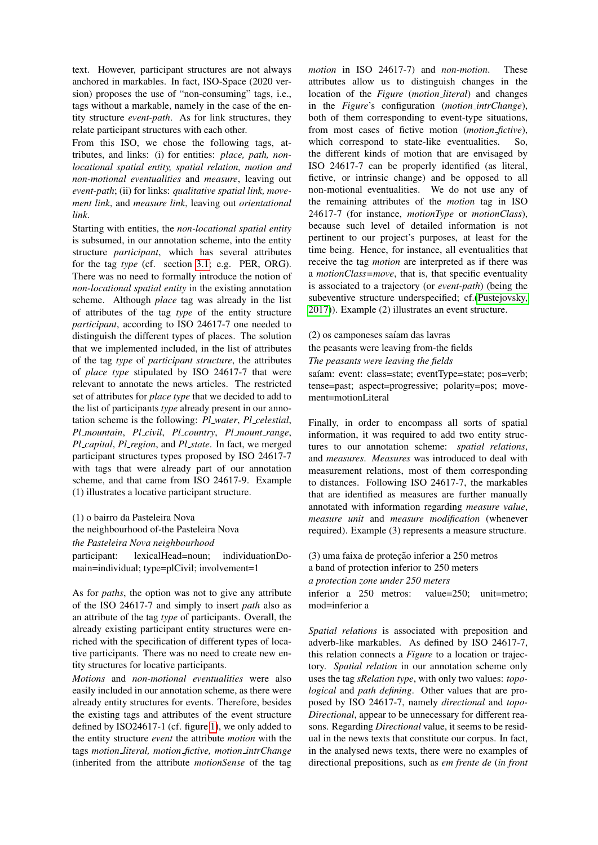text. However, participant structures are not always anchored in markables. In fact, ISO-Space (2020 version) proposes the use of "non-consuming" tags, i.e., tags without a markable, namely in the case of the entity structure *event-path*. As for link structures, they relate participant structures with each other.

From this ISO, we chose the following tags, attributes, and links: (i) for entities: *place, path, nonlocational spatial entity, spatial relation, motion and non-motional eventualities* and *measure*, leaving out *event-path*; (ii) for links: *qualitative spatial link, movement link*, and *measure link*, leaving out *orientational link*.

Starting with entities, the *non-locational spatial entity* is subsumed, in our annotation scheme, into the entity structure *participant*, which has several attributes for the tag *type* (cf. section [3.1;](#page-1-2) e.g. PER, ORG). There was no need to formally introduce the notion of *non-locational spatial entity* in the existing annotation scheme. Although *place* tag was already in the list of attributes of the tag *type* of the entity structure *participant*, according to ISO 24617-7 one needed to distinguish the different types of places. The solution that we implemented included, in the list of attributes of the tag *type* of *participant structure*, the attributes of *place type* stipulated by ISO 24617-7 that were relevant to annotate the news articles. The restricted set of attributes for *place type* that we decided to add to the list of participants *type* already present in our annotation scheme is the following: *Pl water*, *Pl celestial*, *Pl mountain*, *Pl civil*, *Pl country*, *Pl mount range*, *Pl capital*, *Pl region*, and *Pl state*. In fact, we merged participant structures types proposed by ISO 24617-7 with tags that were already part of our annotation scheme, and that came from ISO 24617-9. Example (1) illustrates a locative participant structure.

(1) o bairro da Pasteleira Nova the neighbourhood of-the Pasteleira Nova *the Pasteleira Nova neighbourhood*

participant: lexicalHead=noun; individuationDomain=individual; type=plCivil; involvement=1

As for *paths*, the option was not to give any attribute of the ISO 24617-7 and simply to insert *path* also as an attribute of the tag *type* of participants. Overall, the already existing participant entity structures were enriched with the specification of different types of locative participants. There was no need to create new entity structures for locative participants.

*Motions* and *non-motional eventualities* were also easily included in our annotation scheme, as there were already entity structures for events. Therefore, besides the existing tags and attributes of the event structure defined by ISO24617-1 (cf. figure [1\)](#page-5-0), we only added to the entity structure *event* the attribute *motion* with the tags *motion literal, motion fictive, motion intrChange* (inherited from the attribute *motionSense* of the tag *motion* in ISO 24617-7) and *non-motion*. These attributes allow us to distinguish changes in the location of the *Figure* (*motion literal*) and changes in the *Figure*'s configuration (*motion intrChange*), both of them corresponding to event-type situations, from most cases of fictive motion (*motion fictive*), which correspond to state-like eventualities. So, the different kinds of motion that are envisaged by ISO 24617-7 can be properly identified (as literal, fictive, or intrinsic change) and be opposed to all non-motional eventualities. We do not use any of the remaining attributes of the *motion* tag in ISO 24617-7 (for instance, *motionType* or *motionClass*), because such level of detailed information is not pertinent to our project's purposes, at least for the time being. Hence, for instance, all eventualities that receive the tag *motion* are interpreted as if there was a *motionClass=move*, that is, that specific eventuality is associated to a trajectory (or *event-path*) (being the subeventive structure underspecified; cf.[\(Pustejovsky,](#page-9-4) [2017\)](#page-9-4)). Example (2) illustrates an event structure.

(2) os camponeses saíam das lavras

the peasants were leaving from-the fields

*The peasants were leaving the fields*

saíam: event: class=state; eventType=state; pos=verb; tense=past; aspect=progressive; polarity=pos; movement=motionLiteral

Finally, in order to encompass all sorts of spatial information, it was required to add two entity structures to our annotation scheme: *spatial relations*, and *measures*. *Measures* was introduced to deal with measurement relations, most of them corresponding to distances. Following ISO 24617-7, the markables that are identified as measures are further manually annotated with information regarding *measure value*, *measure unit* and *measure modification* (whenever required). Example (3) represents a measure structure.

(3) uma faixa de proteção inferior a 250 metros a band of protection inferior to 250 meters *a protection zone under 250 meters* inferior a 250 metros: value=250; unit=metro; mod=inferior a

*Spatial relations* is associated with preposition and adverb-like markables. As defined by ISO 24617-7, this relation connects a *Figure* to a location or trajectory. *Spatial relation* in our annotation scheme only uses the tag *sRelation type*, with only two values: *topological* and *path defining*. Other values that are proposed by ISO 24617-7, namely *directional* and *topo-Directional*, appear to be unnecessary for different reasons. Regarding *Directional* value, it seems to be residual in the news texts that constitute our corpus. In fact, in the analysed news texts, there were no examples of directional prepositions, such as *em frente de* (*in front*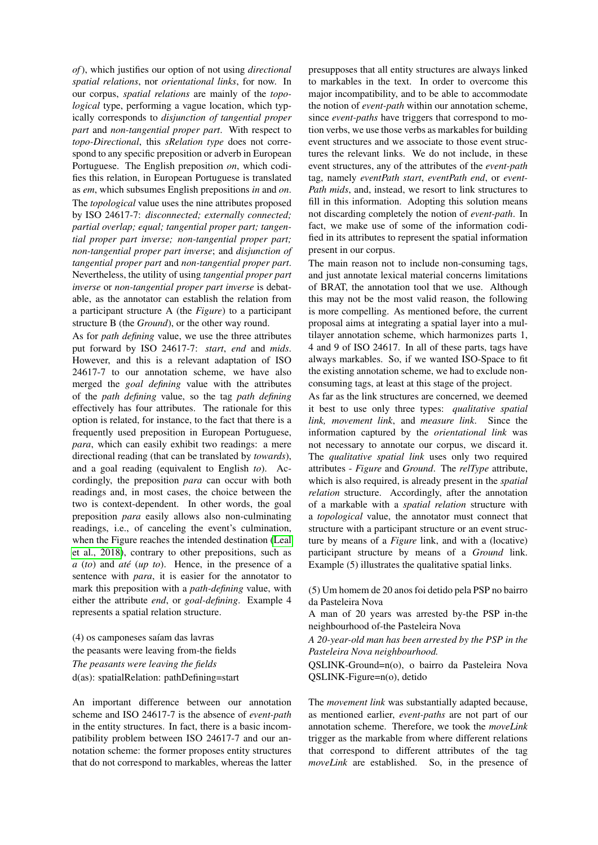*of*), which justifies our option of not using *directional spatial relations*, nor *orientational links*, for now. In our corpus, *spatial relations* are mainly of the *topological* type, performing a vague location, which typically corresponds to *disjunction of tangential proper part* and *non-tangential proper part*. With respect to *topo-Directional*, this *sRelation type* does not correspond to any specific preposition or adverb in European Portuguese. The English preposition *on*, which codifies this relation, in European Portuguese is translated as *em*, which subsumes English prepositions *in* and *on*. The *topological* value uses the nine attributes proposed by ISO 24617-7: *disconnected; externally connected; partial overlap; equal; tangential proper part; tangential proper part inverse; non-tangential proper part; non-tangential proper part inverse*; and *disjunction of tangential proper part* and *non-tangential proper part*. Nevertheless, the utility of using *tangential proper part inverse* or *non-tangential proper part inverse* is debatable, as the annotator can establish the relation from a participant structure A (the *Figure*) to a participant structure B (the *Ground*), or the other way round.

As for *path defining* value, we use the three attributes put forward by ISO 24617-7: *start*, *end* and *mids*. However, and this is a relevant adaptation of ISO 24617-7 to our annotation scheme, we have also merged the *goal defining* value with the attributes of the *path defining* value, so the tag *path defining* effectively has four attributes. The rationale for this option is related, for instance, to the fact that there is a frequently used preposition in European Portuguese, *para*, which can easily exhibit two readings: a mere directional reading (that can be translated by *towards*), and a goal reading (equivalent to English *to*). Accordingly, the preposition *para* can occur with both readings and, in most cases, the choice between the two is context-dependent. In other words, the goal preposition *para* easily allows also non-culminating readings, i.e., of canceling the event's culmination, when the Figure reaches the intended destination [\(Leal](#page-8-18) [et al., 2018\)](#page-8-18), contrary to other prepositions, such as *a* (*to*) and *ate´* (*up to*). Hence, in the presence of a sentence with *para*, it is easier for the annotator to mark this preposition with a *path-defining* value, with either the attribute *end*, or *goal-defining*. Example 4 represents a spatial relation structure.

(4) os camponeses saíam das lavras the peasants were leaving from-the fields *The peasants were leaving the fields* d(as): spatialRelation: pathDefining=start

An important difference between our annotation scheme and ISO 24617-7 is the absence of *event-path* in the entity structures. In fact, there is a basic incompatibility problem between ISO 24617-7 and our annotation scheme: the former proposes entity structures that do not correspond to markables, whereas the latter presupposes that all entity structures are always linked to markables in the text. In order to overcome this major incompatibility, and to be able to accommodate the notion of *event-path* within our annotation scheme, since *event-paths* have triggers that correspond to motion verbs, we use those verbs as markables for building event structures and we associate to those event structures the relevant links. We do not include, in these event structures, any of the attributes of the *event-path* tag, namely *eventPath start*, *eventPath end*, or *event-Path mids*, and, instead, we resort to link structures to fill in this information. Adopting this solution means not discarding completely the notion of *event-path*. In fact, we make use of some of the information codified in its attributes to represent the spatial information present in our corpus.

The main reason not to include non-consuming tags, and just annotate lexical material concerns limitations of BRAT, the annotation tool that we use. Although this may not be the most valid reason, the following is more compelling. As mentioned before, the current proposal aims at integrating a spatial layer into a multilayer annotation scheme, which harmonizes parts 1, 4 and 9 of ISO 24617. In all of these parts, tags have always markables. So, if we wanted ISO-Space to fit the existing annotation scheme, we had to exclude nonconsuming tags, at least at this stage of the project.

As far as the link structures are concerned, we deemed it best to use only three types: *qualitative spatial link, movement link*, and *measure link*. Since the information captured by the *orientational link* was not necessary to annotate our corpus, we discard it. The *qualitative spatial link* uses only two required attributes - *Figure* and *Ground*. The *relType* attribute, which is also required, is already present in the *spatial relation* structure. Accordingly, after the annotation of a markable with a *spatial relation* structure with a *topological* value, the annotator must connect that structure with a participant structure or an event structure by means of a *Figure* link, and with a (locative) participant structure by means of a *Ground* link. Example (5) illustrates the qualitative spatial links.

(5) Um homem de 20 anos foi detido pela PSP no bairro da Pasteleira Nova

A man of 20 years was arrested by-the PSP in-the neighbourhood of-the Pasteleira Nova

*A 20-year-old man has been arrested by the PSP in the Pasteleira Nova neighbourhood.*

QSLINK-Ground=n(o), o bairro da Pasteleira Nova QSLINK-Figure=n(o), detido

The *movement link* was substantially adapted because, as mentioned earlier, *event-paths* are not part of our annotation scheme. Therefore, we took the *moveLink* trigger as the markable from where different relations that correspond to different attributes of the tag *moveLink* are established. So, in the presence of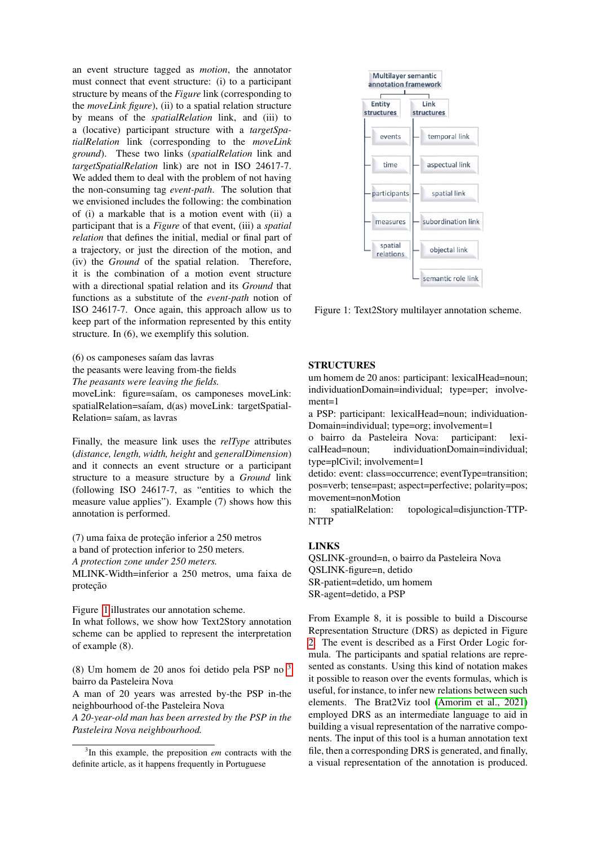an event structure tagged as *motion*, the annotator must connect that event structure: (i) to a participant structure by means of the *Figure* link (corresponding to the *moveLink figure*), (ii) to a spatial relation structure by means of the *spatialRelation* link, and (iii) to a (locative) participant structure with a *targetSpatialRelation* link (corresponding to the *moveLink ground*). These two links (*spatialRelation* link and *targetSpatialRelation* link) are not in ISO 24617-7. We added them to deal with the problem of not having the non-consuming tag *event-path*. The solution that we envisioned includes the following: the combination of (i) a markable that is a motion event with (ii) a participant that is a *Figure* of that event, (iii) a *spatial relation* that defines the initial, medial or final part of a trajectory, or just the direction of the motion, and (iv) the *Ground* of the spatial relation. Therefore, it is the combination of a motion event structure with a directional spatial relation and its *Ground* that functions as a substitute of the *event-path* notion of ISO 24617-7. Once again, this approach allow us to keep part of the information represented by this entity structure. In (6), we exemplify this solution.

(6) os camponeses saíam das lavras the peasants were leaving from-the fields *The peasants were leaving the fields.* moveLink: figure=saíam, os camponeses moveLink: spatialRelation=saíam, d(as) moveLink: targetSpatial-

Relation= saíam, as lavras

Finally, the measure link uses the *relType* attributes (*distance, length, width, height* and *generalDimension*) and it connects an event structure or a participant structure to a measure structure by a *Ground* link (following ISO 24617-7, as "entities to which the measure value applies"). Example (7) shows how this annotation is performed.

 $(7)$  uma faixa de proteção inferior a 250 metros a band of protection inferior to 250 meters. *A protection zone under 250 meters.* MLINK-Width=inferior a 250 metros, uma faixa de proteção

Figure [1](#page-5-0) illustrates our annotation scheme. In what follows, we show how Text2Story annotation scheme can be applied to represent the interpretation of example (8).

(8) Um homem de 20 anos foi detido pela PSP no [3](#page-5-1) bairro da Pasteleira Nova

A man of 20 years was arrested by-the PSP in-the neighbourhood of-the Pasteleira Nova

*A 20-year-old man has been arrested by the PSP in the Pasteleira Nova neighbourhood.*



<span id="page-5-0"></span>Figure 1: Text2Story multilayer annotation scheme.

#### STRUCTURES

um homem de 20 anos: participant: lexicalHead=noun; individuationDomain=individual; type=per; involvement=1

a PSP: participant: lexicalHead=noun; individuation-Domain=individual; type=org; involvement=1

o bairro da Pasteleira Nova: participant: lexicalHead=noun; individuationDomain=individual; type=plCivil; involvement=1

detido: event: class=occurrence; eventType=transition; pos=verb; tense=past; aspect=perfective; polarity=pos; movement=nonMotion

n: spatialRelation: topological=disjunction-TTP-NTTP

# LINKS

QSLINK-ground=n, o bairro da Pasteleira Nova QSLINK-figure=n, detido SR-patient=detido, um homem SR-agent=detido, a PSP

From Example 8, it is possible to build a Discourse Representation Structure (DRS) as depicted in Figure [2.](#page-6-1) The event is described as a First Order Logic formula. The participants and spatial relations are represented as constants. Using this kind of notation makes it possible to reason over the events formulas, which is useful, for instance, to infer new relations between such elements. The Brat2Viz tool [\(Amorim et al., 2021\)](#page-8-19) employed DRS as an intermediate language to aid in building a visual representation of the narrative components. The input of this tool is a human annotation text file, then a corresponding DRS is generated, and finally, a visual representation of the annotation is produced.

<span id="page-5-1"></span><sup>3</sup> In this example, the preposition *em* contracts with the definite article, as it happens frequently in Portuguese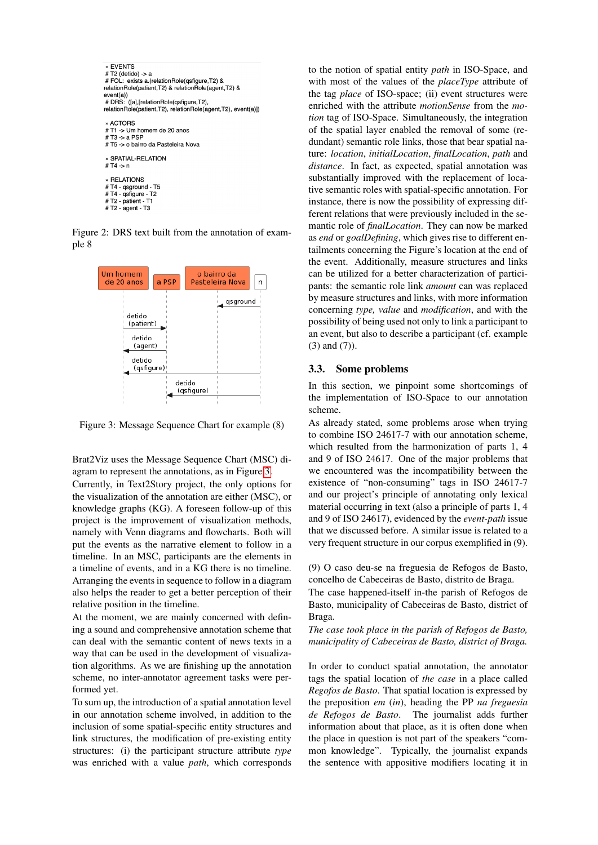

Figure 2: DRS text built from the annotation of example 8

<span id="page-6-1"></span>

<span id="page-6-2"></span>Figure 3: Message Sequence Chart for example (8)

Brat2Viz uses the Message Sequence Chart (MSC) diagram to represent the annotations, as in Figure [3.](#page-6-2)

Currently, in Text2Story project, the only options for the visualization of the annotation are either (MSC), or knowledge graphs (KG). A foreseen follow-up of this project is the improvement of visualization methods, namely with Venn diagrams and flowcharts. Both will put the events as the narrative element to follow in a timeline. In an MSC, participants are the elements in a timeline of events, and in a KG there is no timeline. Arranging the events in sequence to follow in a diagram also helps the reader to get a better perception of their relative position in the timeline.

At the moment, we are mainly concerned with defining a sound and comprehensive annotation scheme that can deal with the semantic content of news texts in a way that can be used in the development of visualization algorithms. As we are finishing up the annotation scheme, no inter-annotator agreement tasks were performed yet.

To sum up, the introduction of a spatial annotation level in our annotation scheme involved, in addition to the inclusion of some spatial-specific entity structures and link structures, the modification of pre-existing entity structures: (i) the participant structure attribute *type* was enriched with a value *path*, which corresponds

to the notion of spatial entity *path* in ISO-Space, and with most of the values of the *placeType* attribute of the tag *place* of ISO-space; (ii) event structures were enriched with the attribute *motionSense* from the *motion* tag of ISO-Space. Simultaneously, the integration of the spatial layer enabled the removal of some (redundant) semantic role links, those that bear spatial nature: *location*, *initialLocation*, *finalLocation*, *path* and *distance*. In fact, as expected, spatial annotation was substantially improved with the replacement of locative semantic roles with spatial-specific annotation. For instance, there is now the possibility of expressing different relations that were previously included in the semantic role of *finalLocation*. They can now be marked as *end* or *goalDefining*, which gives rise to different entailments concerning the Figure's location at the end of the event. Additionally, measure structures and links can be utilized for a better characterization of participants: the semantic role link *amount* can was replaced by measure structures and links, with more information concerning *type, value* and *modification*, and with the possibility of being used not only to link a participant to an event, but also to describe a participant (cf. example (3) and (7)).

## <span id="page-6-0"></span>3.3. Some problems

In this section, we pinpoint some shortcomings of the implementation of ISO-Space to our annotation scheme.

As already stated, some problems arose when trying to combine ISO 24617-7 with our annotation scheme, which resulted from the harmonization of parts 1, 4 and 9 of ISO 24617. One of the major problems that we encountered was the incompatibility between the existence of "non-consuming" tags in ISO 24617-7 and our project's principle of annotating only lexical material occurring in text (also a principle of parts 1, 4 and 9 of ISO 24617), evidenced by the *event-path* issue that we discussed before. A similar issue is related to a very frequent structure in our corpus exemplified in (9).

(9) O caso deu-se na freguesia de Refogos de Basto, concelho de Cabeceiras de Basto, distrito de Braga.

The case happened-itself in-the parish of Refogos de Basto, municipality of Cabeceiras de Basto, district of Braga.

*The case took place in the parish of Refogos de Basto, municipality of Cabeceiras de Basto, district of Braga.*

In order to conduct spatial annotation, the annotator tags the spatial location of *the case* in a place called *Regofos de Basto*. That spatial location is expressed by the preposition *em* (*in*), heading the PP *na freguesia de Refogos de Basto*. The journalist adds further information about that place, as it is often done when the place in question is not part of the speakers "common knowledge". Typically, the journalist expands the sentence with appositive modifiers locating it in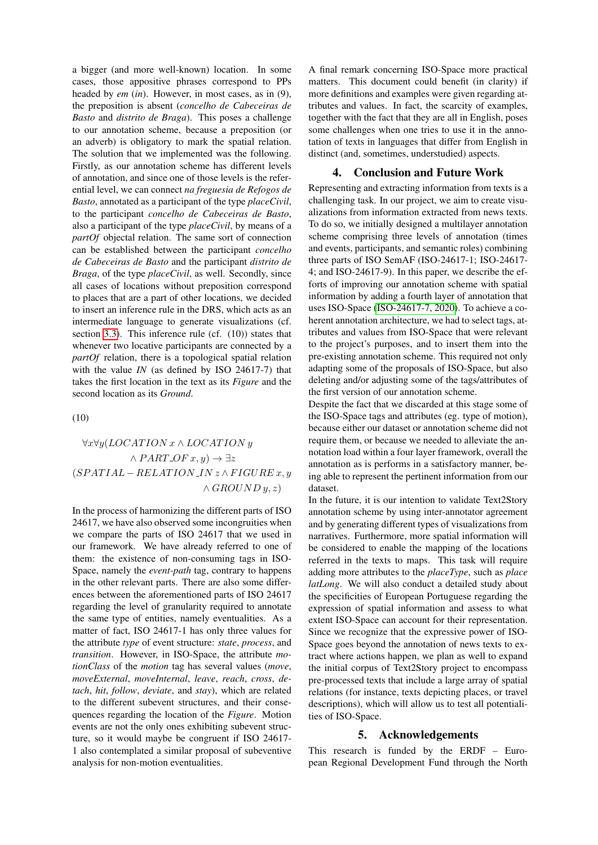a bigger (and more well-known) location. In some cases, those appositive phrases correspond to PPs headed by *em* (*in*). However, in most cases, as in (9), the preposition is absent (*concelho de Cabeceiras de Basto* and *distrito de Braga*). This poses a challenge to our annotation scheme, because a preposition (or an adverb) is obligatory to mark the spatial relation. The solution that we implemented was the following. Firstly, as our annotation scheme has different levels of annotation, and since one of those levels is the referential level, we can connect *na freguesia de Refogos de Basto*, annotated as a participant of the type *placeCivil*, to the participant *concelho de Cabeceiras de Basto*, also a participant of the type *placeCivil*, by means of a *partOf* objectal relation. The same sort of connection can be established between the participant *concelho de Cabeceiras de Basto* and the participant *distrito de Braga*, of the type *placeCivil*, as well. Secondly, since all cases of locations without preposition correspond to places that are a part of other locations, we decided to insert an inference rule in the DRS, which acts as an intermediate language to generate visualizations (cf. section [3.3\)](#page-6-0). This inference rule (cf. (10)) states that whenever two locative participants are connected by a *partOf* relation, there is a topological spatial relation with the value *IN* (as defined by ISO 24617-7) that takes the first location in the text as its *Figure* and the second location as its *Ground*.

(10)

# $\forall x \forall y (LOCALION x \land LOCATION y$  $\wedge$  PART\_OF  $x, y$ )  $\rightarrow \exists z$  $(SPATHL - RELATION IN z \wedge FIGURE x, y)$  $\wedge$  GROUND  $y, z)$

In the process of harmonizing the different parts of ISO 24617, we have also observed some incongruities when we compare the parts of ISO 24617 that we used in our framework. We have already referred to one of them: the existence of non-consuming tags in ISO-Space, namely the *event-path* tag, contrary to happens in the other relevant parts. There are also some differences between the aforementioned parts of ISO 24617 regarding the level of granularity required to annotate the same type of entities, namely eventualities. As a matter of fact, ISO 24617-1 has only three values for the attribute *type* of event structure: *state*, *process*, and *transition*. However, in ISO-Space, the attribute *motionClass* of the *motion* tag has several values (*move*, *moveExternal*, *moveInternal*, *leave*, *reach*, *cross*, *detach*, *hit*, *follow*, *deviate*, and *stay*), which are related to the different subevent structures, and their consequences regarding the location of the *Figure*. Motion events are not the only ones exhibiting subevent structure, so it would maybe be congruent if ISO 24617- 1 also contemplated a similar proposal of subeventive analysis for non-motion eventualities.

A final remark concerning ISO-Space more practical matters. This document could benefit (in clarity) if more definitions and examples were given regarding attributes and values. In fact, the scarcity of examples, together with the fact that they are all in English, poses some challenges when one tries to use it in the annotation of texts in languages that differ from English in distinct (and, sometimes, understudied) aspects.

### 4. Conclusion and Future Work

<span id="page-7-0"></span>Representing and extracting information from texts is a challenging task. In our project, we aim to create visualizations from information extracted from news texts. To do so, we initially designed a multilayer annotation scheme comprising three levels of annotation (times and events, participants, and semantic roles) combining three parts of ISO SemAF (ISO-24617-1; ISO-24617- 4; and ISO-24617-9). In this paper, we describe the efforts of improving our annotation scheme with spatial information by adding a fourth layer of annotation that uses ISO-Space [\(ISO-24617-7, 2020\)](#page-8-2). To achieve a coherent annotation architecture, we had to select tags, attributes and values from ISO-Space that were relevant to the project's purposes, and to insert them into the pre-existing annotation scheme. This required not only adapting some of the proposals of ISO-Space, but also deleting and/or adjusting some of the tags/attributes of the first version of our annotation scheme.

Despite the fact that we discarded at this stage some of the ISO-Space tags and attributes (eg. type of motion), because either our dataset or annotation scheme did not require them, or because we needed to alleviate the annotation load within a four layer framework, overall the annotation as is performs in a satisfactory manner, being able to represent the pertinent information from our dataset.

In the future, it is our intention to validate Text2Story annotation scheme by using inter-annotator agreement and by generating different types of visualizations from narratives. Furthermore, more spatial information will be considered to enable the mapping of the locations referred in the texts to maps. This task will require adding more attributes to the *placeType*, such as *place latLong*. We will also conduct a detailed study about the specificities of European Portuguese regarding the expression of spatial information and assess to what extent ISO-Space can account for their representation. Since we recognize that the expressive power of ISO-Space goes beyond the annotation of news texts to extract where actions happen, we plan as well to expand the initial corpus of Text2Story project to encompass pre-processed texts that include a large array of spatial relations (for instance, texts depicting places, or travel descriptions), which will allow us to test all potentialities of ISO-Space.

# 5. Acknowledgements

This research is funded by the ERDF – European Regional Development Fund through the North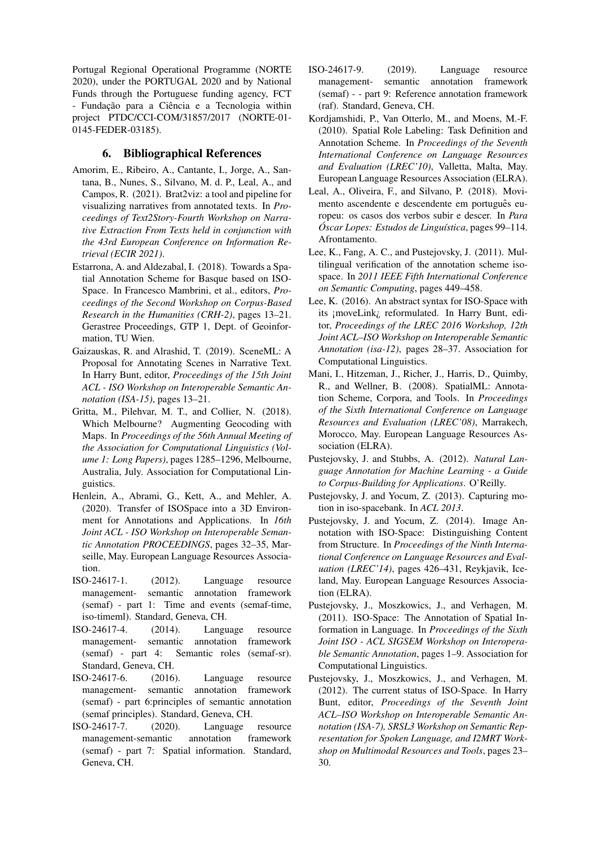Portugal Regional Operational Programme (NORTE 2020), under the PORTUGAL 2020 and by National Funds through the Portuguese funding agency, FCT - Fundação para a Ciência e a Tecnologia within project PTDC/CCI-COM/31857/2017 (NORTE-01- 0145-FEDER-03185).

# 6. Bibliographical References

- <span id="page-8-19"></span>Amorim, E., Ribeiro, A., Cantante, I., Jorge, A., Santana, B., Nunes, S., Silvano, M. d. P., Leal, A., and Campos, R. (2021). Brat2viz: a tool and pipeline for visualizing narratives from annotated texts. In *Proceedings of Text2Story-Fourth Workshop on Narrative Extraction From Texts held in conjunction with the 43rd European Conference on Information Retrieval (ECIR 2021)*.
- <span id="page-8-13"></span>Estarrona, A. and Aldezabal, I. (2018). Towards a Spatial Annotation Scheme for Basque based on ISO-Space. In Francesco Mambrini, et al., editors, *Proceedings of the Second Workshop on Corpus-Based Research in the Humanities (CRH-2)*, pages 13–21. Gerastree Proceedings, GTP 1, Dept. of Geoinformation, TU Wien.
- <span id="page-8-11"></span>Gaizauskas, R. and Alrashid, T. (2019). SceneML: A Proposal for Annotating Scenes in Narrative Text. In Harry Bunt, editor, *Proceedings of the 15th Joint ACL - ISO Workshop on Interoperable Semantic Annotation (ISA-15)*, pages 13–21.
- <span id="page-8-3"></span>Gritta, M., Pilehvar, M. T., and Collier, N. (2018). Which Melbourne? Augmenting Geocoding with Maps. In *Proceedings of the 56th Annual Meeting of the Association for Computational Linguistics (Volume 1: Long Papers)*, pages 1285–1296, Melbourne, Australia, July. Association for Computational Linguistics.
- <span id="page-8-12"></span>Henlein, A., Abrami, G., Kett, A., and Mehler, A. (2020). Transfer of ISOSpace into a 3D Environment for Annotations and Applications. In *16th Joint ACL - ISO Workshop on Interoperable Semantic Annotation PROCEEDINGS*, pages 32–35, Marseille, May. European Language Resources Association.
- <span id="page-8-14"></span>ISO-24617-1. (2012). Language resource management- semantic annotation framework (semaf) - part 1: Time and events (semaf-time, iso-timeml). Standard, Geneva, CH.
- <span id="page-8-15"></span>ISO-24617-4. (2014). Language resource management- semantic annotation framework (semaf) - part 4: Semantic roles (semaf-sr). Standard, Geneva, CH.
- <span id="page-8-5"></span>ISO-24617-6. (2016). Language resource management- semantic annotation framework (semaf) - part 6:principles of semantic annotation (semaf principles). Standard, Geneva, CH.
- <span id="page-8-2"></span>ISO-24617-7. (2020). Language resource management-semantic annotation framework (semaf) - part 7: Spatial information. Standard, Geneva, CH.
- <span id="page-8-16"></span>ISO-24617-9. (2019). Language resource management- semantic annotation framework (semaf) - - part 9: Reference annotation framework (raf). Standard, Geneva, CH.
- <span id="page-8-0"></span>Kordjamshidi, P., Van Otterlo, M., and Moens, M.-F. (2010). Spatial Role Labeling: Task Definition and Annotation Scheme. In *Proceedings of the Seventh International Conference on Language Resources and Evaluation (LREC'10)*, Valletta, Malta, May. European Language Resources Association (ELRA).
- <span id="page-8-18"></span>Leal, A., Oliveira, F., and Silvano, P. (2018). Movimento ascendente e descendente em português europeu: os casos dos verbos subir e descer. In *Para Óscar Lopes: Estudos de Linguística*, pages 99–114. Afrontamento.
- <span id="page-8-9"></span>Lee, K., Fang, A. C., and Pustejovsky, J. (2011). Multilingual verification of the annotation scheme isospace. In *2011 IEEE Fifth International Conference on Semantic Computing*, pages 449–458.
- <span id="page-8-6"></span>Lee, K. (2016). An abstract syntax for ISO-Space with its ¡moveLink¿ reformulated. In Harry Bunt, editor, *Proceedings of the LREC 2016 Workshop, 12th Joint ACL–ISO Workshop on Interoperable Semantic Annotation (isa-12)*, pages 28–37. Association for Computational Linguistics.
- <span id="page-8-1"></span>Mani, I., Hitzeman, J., Richer, J., Harris, D., Quimby, R., and Wellner, B. (2008). SpatialML: Annotation Scheme, Corpora, and Tools. In *Proceedings of the Sixth International Conference on Language Resources and Evaluation (LREC'08)*, Marrakech, Morocco, May. European Language Resources Association (ELRA).
- <span id="page-8-17"></span>Pustejovsky, J. and Stubbs, A. (2012). *Natural Language Annotation for Machine Learning - a Guide to Corpus-Building for Applications*. O'Reilly.
- <span id="page-8-8"></span>Pustejovsky, J. and Yocum, Z. (2013). Capturing motion in iso-spacebank. In *ACL 2013*.
- <span id="page-8-10"></span>Pustejovsky, J. and Yocum, Z. (2014). Image Annotation with ISO-Space: Distinguishing Content from Structure. In *Proceedings of the Ninth International Conference on Language Resources and Evaluation (LREC'14)*, pages 426–431, Reykjavik, Iceland, May. European Language Resources Association (ELRA).
- <span id="page-8-4"></span>Pustejovsky, J., Moszkowics, J., and Verhagen, M. (2011). ISO-Space: The Annotation of Spatial Information in Language. In *Proceedings of the Sixth Joint ISO - ACL SIGSEM Workshop on Interoperable Semantic Annotation*, pages 1–9. Association for Computational Linguistics.
- <span id="page-8-7"></span>Pustejovsky, J., Moszkowics, J., and Verhagen, M. (2012). The current status of ISO-Space. In Harry Bunt, editor, *Proceedings of the Seventh Joint ACL–ISO Workshop on Interoperable Semantic Annotation (ISA-7), SRSL3 Workshop on Semantic Representation for Spoken Language, and I2MRT Workshop on Multimodal Resources and Tools*, pages 23– 30.